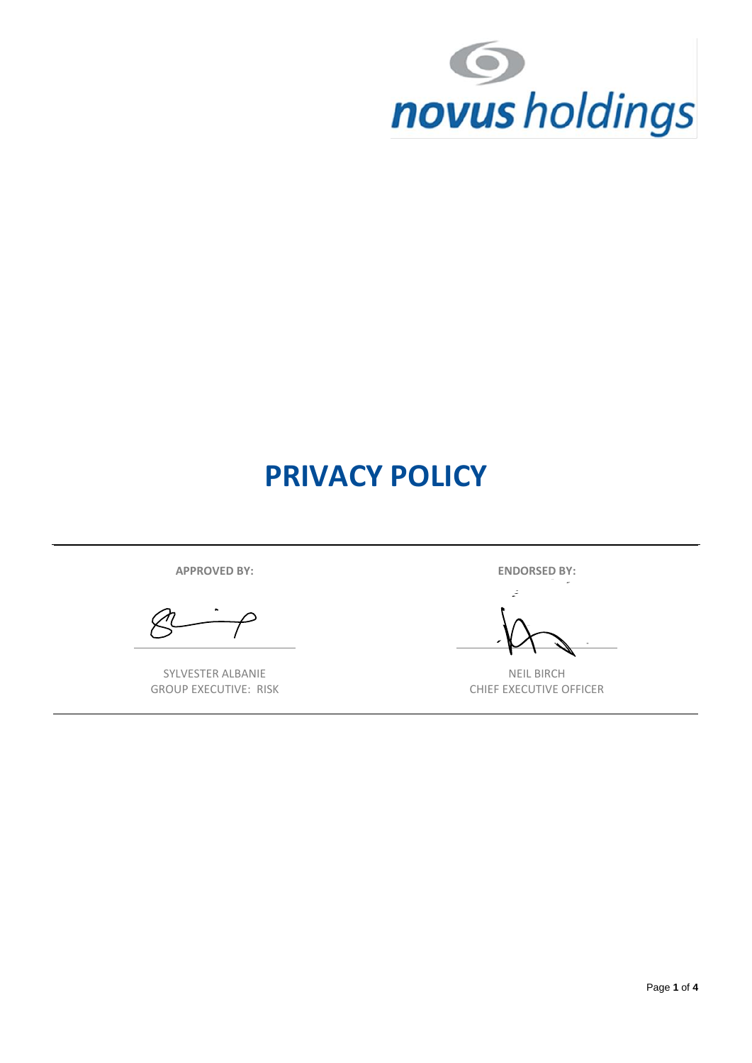

# **PRIVACY POLICY**

**APPROVED BY: ENDORSED BY:**

 $\varphi$ 

SYLVESTER ALBANIE GROUP EXECUTIVE: RISK

- 2

NEIL BIRCH CHIEF EXECUTIVE OFFICER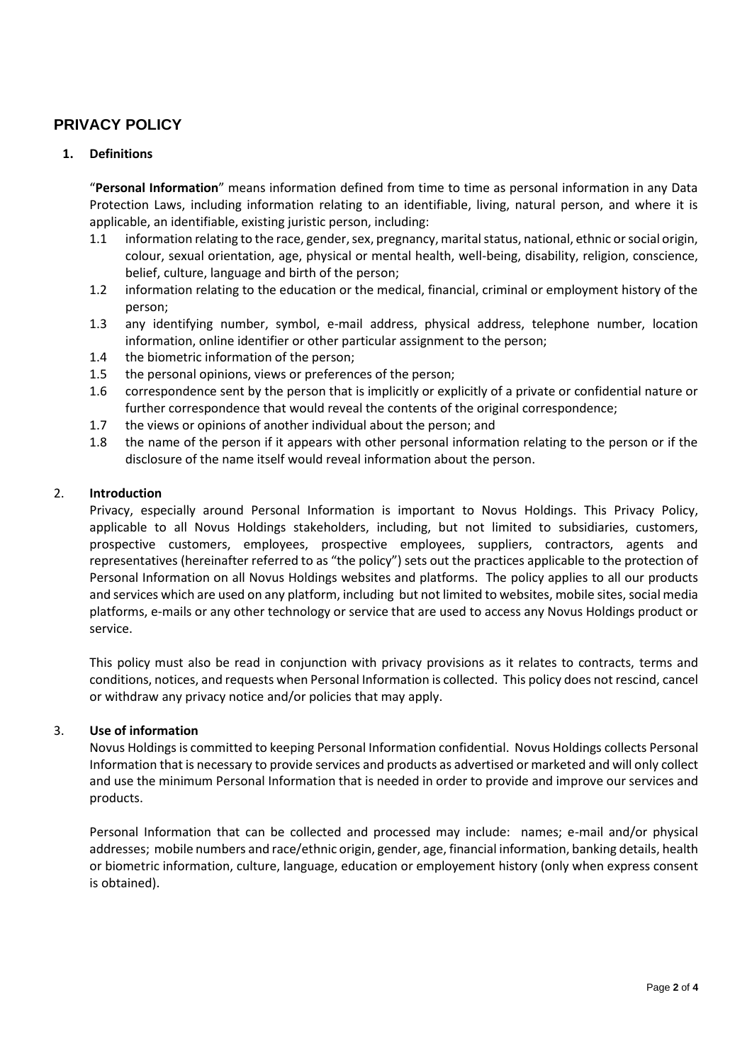# **PRIVACY POLICY**

# **1. Definitions**

"**Personal Information**" means information defined from time to time as personal information in any Data Protection Laws, including information relating to an identifiable, living, natural person, and where it is applicable, an identifiable, existing juristic person, including:

- 1.1 information relating to the race, gender, sex, pregnancy, marital status, national, ethnic or social origin, colour, sexual orientation, age, physical or mental health, well-being, disability, religion, conscience, belief, culture, language and birth of the person;
- 1.2 information relating to the education or the medical, financial, criminal or employment history of the person;
- 1.3 any identifying number, symbol, e-mail address, physical address, telephone number, location information, online identifier or other particular assignment to the person;
- 1.4 the biometric information of the person;
- 1.5 the personal opinions, views or preferences of the person;
- 1.6 correspondence sent by the person that is implicitly or explicitly of a private or confidential nature or further correspondence that would reveal the contents of the original correspondence;
- 1.7 the views or opinions of another individual about the person; and
- 1.8 the name of the person if it appears with other personal information relating to the person or if the disclosure of the name itself would reveal information about the person.

# 2. **Introduction**

Privacy, especially around Personal Information is important to Novus Holdings. This Privacy Policy, applicable to all Novus Holdings stakeholders, including, but not limited to subsidiaries, customers, prospective customers, employees, prospective employees, suppliers, contractors, agents and representatives (hereinafter referred to as "the policy") sets out the practices applicable to the protection of Personal Information on all Novus Holdings websites and platforms. The policy applies to all our products and services which are used on any platform, including but not limited to websites, mobile sites, social media platforms, e-mails or any other technology or service that are used to access any Novus Holdings product or service.

This policy must also be read in conjunction with privacy provisions as it relates to contracts, terms and conditions, notices, and requests when Personal Information is collected. This policy does not rescind, cancel or withdraw any privacy notice and/or policies that may apply.

# 3. **Use of information**

Novus Holdings is committed to keeping Personal Information confidential. Novus Holdings collects Personal Information that is necessary to provide services and products as advertised or marketed and will only collect and use the minimum Personal Information that is needed in order to provide and improve our services and products.

Personal Information that can be collected and processed may include: names; e-mail and/or physical addresses; mobile numbers and race/ethnic origin, gender, age, financial information, banking details, health or biometric information, culture, language, education or employement history (only when express consent is obtained).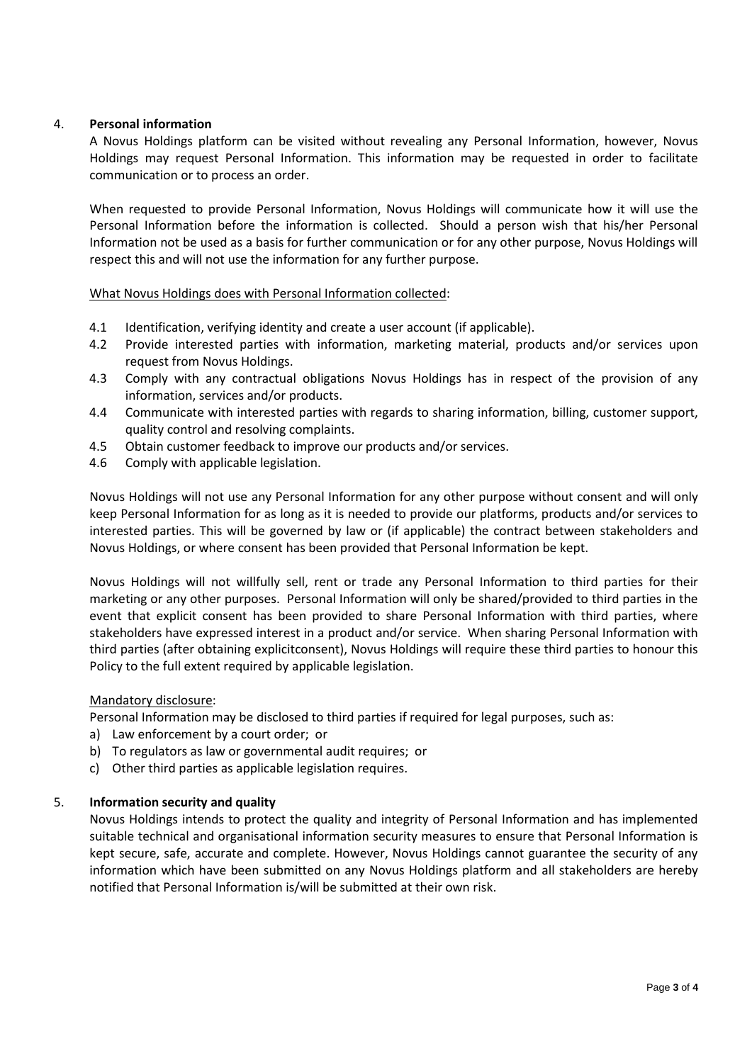# 4. **Personal information**

A Novus Holdings platform can be visited without revealing any Personal Information, however, Novus Holdings may request Personal Information. This information may be requested in order to facilitate communication or to process an order.

When requested to provide Personal Information, Novus Holdings will communicate how it will use the Personal Information before the information is collected. Should a person wish that his/her Personal Information not be used as a basis for further communication or for any other purpose, Novus Holdings will respect this and will not use the information for any further purpose.

# What Novus Holdings does with Personal Information collected:

- 4.1 Identification, verifying identity and create a user account (if applicable).
- 4.2 Provide interested parties with information, marketing material, products and/or services upon request from Novus Holdings.
- 4.3 Comply with any contractual obligations Novus Holdings has in respect of the provision of any information, services and/or products.
- 4.4 Communicate with interested parties with regards to sharing information, billing, customer support, quality control and resolving complaints.
- 4.5 Obtain customer feedback to improve our products and/or services.
- 4.6 Comply with applicable legislation.

Novus Holdings will not use any Personal Information for any other purpose without consent and will only keep Personal Information for as long as it is needed to provide our platforms, products and/or services to interested parties. This will be governed by law or (if applicable) the contract between stakeholders and Novus Holdings, or where consent has been provided that Personal Information be kept.

Novus Holdings will not willfully sell, rent or trade any Personal Information to third parties for their marketing or any other purposes. Personal Information will only be shared/provided to third parties in the event that explicit consent has been provided to share Personal Information with third parties, where stakeholders have expressed interest in a product and/or service. When sharing Personal Information with third parties (after obtaining explicitconsent), Novus Holdings will require these third parties to honour this Policy to the full extent required by applicable legislation.

# Mandatory disclosure:

Personal Information may be disclosed to third parties if required for legal purposes, such as:

- a) Law enforcement by a court order; or
- b) To regulators as law or governmental audit requires; or
- c) Other third parties as applicable legislation requires.

# 5. **Information security and quality**

Novus Holdings intends to protect the quality and integrity of Personal Information and has implemented suitable technical and organisational information security measures to ensure that Personal Information is kept secure, safe, accurate and complete. However, Novus Holdings cannot guarantee the security of any information which have been submitted on any Novus Holdings platform and all stakeholders are hereby notified that Personal Information is/will be submitted at their own risk.